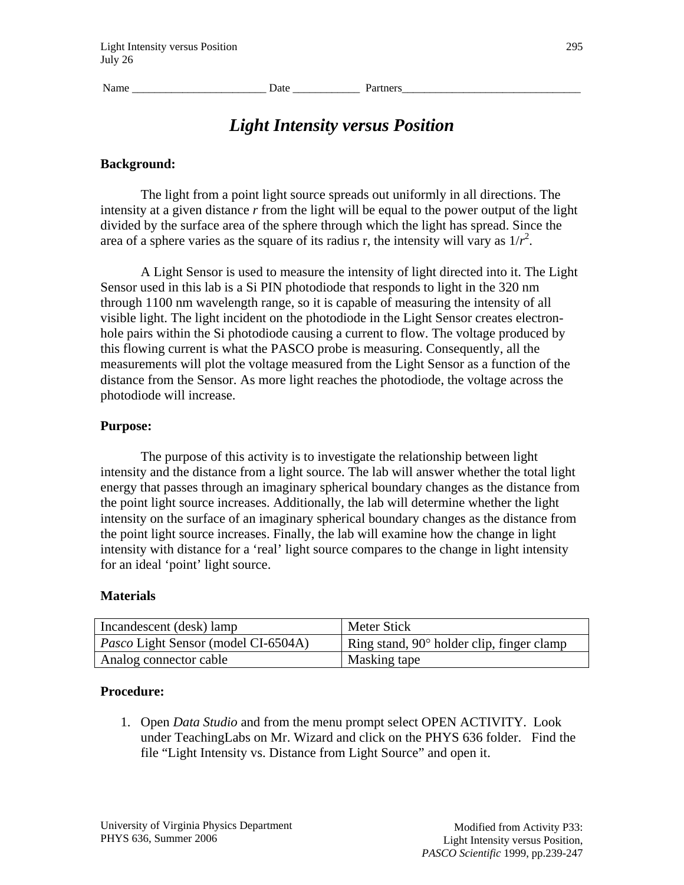Name **Name Date Date Partners** 

# *Light Intensity versus Position*

#### **Background:**

The light from a point light source spreads out uniformly in all directions. The intensity at a given distance *r* from the light will be equal to the power output of the light divided by the surface area of the sphere through which the light has spread. Since the area of a sphere varies as the square of its radius r, the intensity will vary as  $1/r^2$ .

A Light Sensor is used to measure the intensity of light directed into it. The Light Sensor used in this lab is a Si PIN photodiode that responds to light in the 320 nm through 1100 nm wavelength range, so it is capable of measuring the intensity of all visible light. The light incident on the photodiode in the Light Sensor creates electronhole pairs within the Si photodiode causing a current to flow. The voltage produced by this flowing current is what the PASCO probe is measuring. Consequently, all the measurements will plot the voltage measured from the Light Sensor as a function of the distance from the Sensor. As more light reaches the photodiode, the voltage across the photodiode will increase.

#### **Purpose:**

The purpose of this activity is to investigate the relationship between light intensity and the distance from a light source. The lab will answer whether the total light energy that passes through an imaginary spherical boundary changes as the distance from the point light source increases. Additionally, the lab will determine whether the light intensity on the surface of an imaginary spherical boundary changes as the distance from the point light source increases. Finally, the lab will examine how the change in light intensity with distance for a 'real' light source compares to the change in light intensity for an ideal 'point' light source.

## **Materials**

| Incandescent (desk) lamp                   | Meter Stick                                      |
|--------------------------------------------|--------------------------------------------------|
| <i>Pasco</i> Light Sensor (model CI-6504A) | Ring stand, $90^\circ$ holder clip, finger clamp |
| Analog connector cable                     | Masking tape                                     |

## **Procedure:**

1. Open *Data Studio* and from the menu prompt select OPEN ACTIVITY. Look under TeachingLabs on Mr. Wizard and click on the PHYS 636 folder. Find the file "Light Intensity vs. Distance from Light Source" and open it.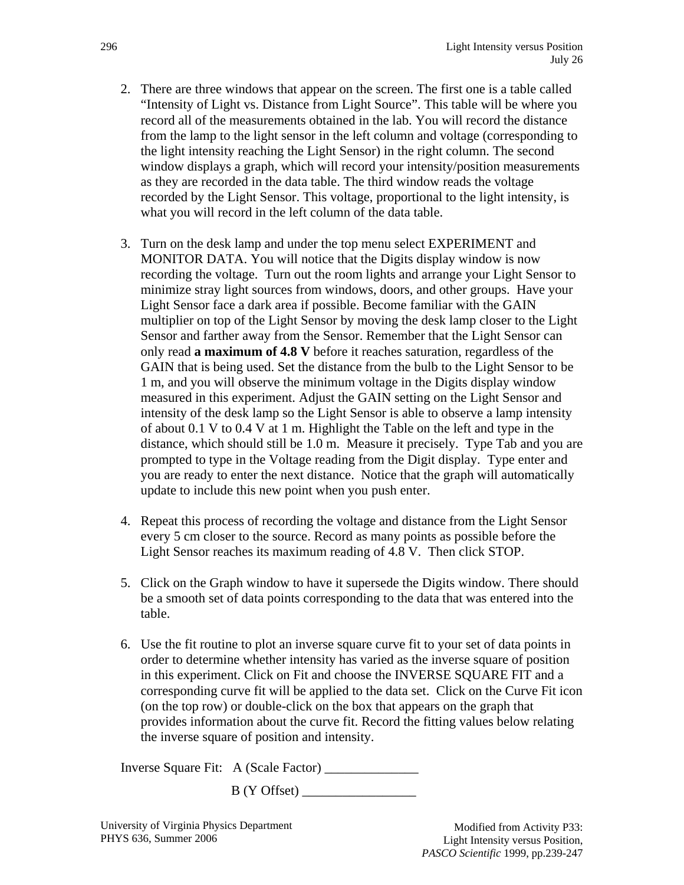- 2. There are three windows that appear on the screen. The first one is a table called "Intensity of Light vs. Distance from Light Source". This table will be where you record all of the measurements obtained in the lab. You will record the distance from the lamp to the light sensor in the left column and voltage (corresponding to the light intensity reaching the Light Sensor) in the right column. The second window displays a graph, which will record your intensity/position measurements as they are recorded in the data table. The third window reads the voltage recorded by the Light Sensor. This voltage, proportional to the light intensity, is what you will record in the left column of the data table.
- 3. Turn on the desk lamp and under the top menu select EXPERIMENT and MONITOR DATA. You will notice that the Digits display window is now recording the voltage. Turn out the room lights and arrange your Light Sensor to minimize stray light sources from windows, doors, and other groups. Have your Light Sensor face a dark area if possible. Become familiar with the GAIN multiplier on top of the Light Sensor by moving the desk lamp closer to the Light Sensor and farther away from the Sensor. Remember that the Light Sensor can only read **a maximum of 4.8 V** before it reaches saturation, regardless of the GAIN that is being used. Set the distance from the bulb to the Light Sensor to be 1 m, and you will observe the minimum voltage in the Digits display window measured in this experiment. Adjust the GAIN setting on the Light Sensor and intensity of the desk lamp so the Light Sensor is able to observe a lamp intensity of about 0.1 V to 0.4 V at 1 m. Highlight the Table on the left and type in the distance, which should still be 1.0 m. Measure it precisely. Type Tab and you are prompted to type in the Voltage reading from the Digit display. Type enter and you are ready to enter the next distance. Notice that the graph will automatically update to include this new point when you push enter.
- 4. Repeat this process of recording the voltage and distance from the Light Sensor every 5 cm closer to the source. Record as many points as possible before the Light Sensor reaches its maximum reading of 4.8 V. Then click STOP.
- 5. Click on the Graph window to have it supersede the Digits window. There should be a smooth set of data points corresponding to the data that was entered into the table.
- 6. Use the fit routine to plot an inverse square curve fit to your set of data points in order to determine whether intensity has varied as the inverse square of position in this experiment. Click on Fit and choose the INVERSE SQUARE FIT and a corresponding curve fit will be applied to the data set. Click on the Curve Fit icon (on the top row) or double-click on the box that appears on the graph that provides information about the curve fit. Record the fitting values below relating the inverse square of position and intensity.

| Inverse Square Fit: A (Scale Factor) |  |
|--------------------------------------|--|
|--------------------------------------|--|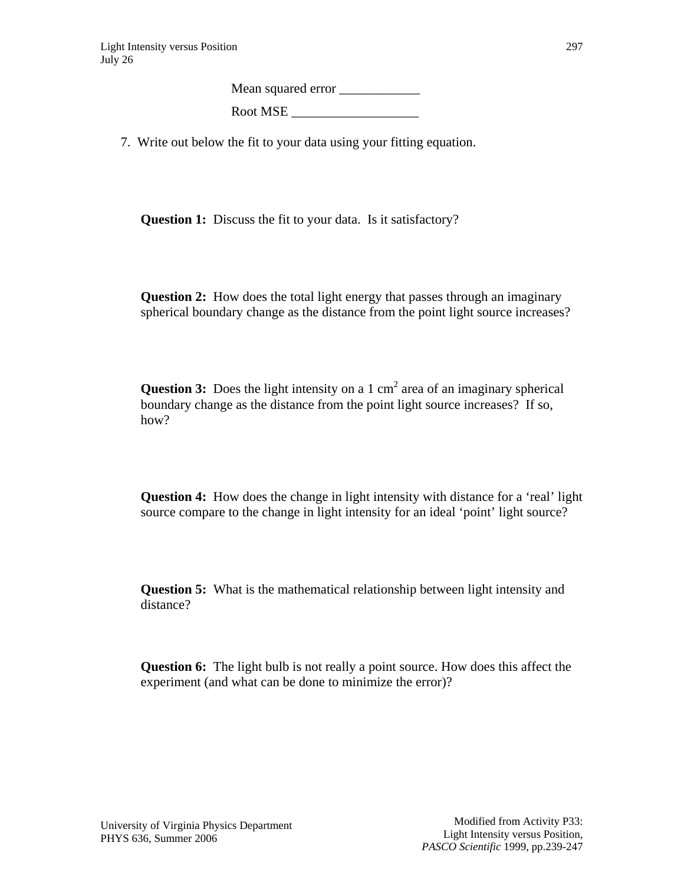Mean squared error \_\_\_\_\_\_\_\_\_\_\_\_ Root MSE

7. Write out below the fit to your data using your fitting equation.

**Question 1:** Discuss the fit to your data. Is it satisfactory?

**Question 2:** How does the total light energy that passes through an imaginary spherical boundary change as the distance from the point light source increases?

**Question 3:** Does the light intensity on a 1  $\text{cm}^2$  area of an imaginary spherical boundary change as the distance from the point light source increases? If so, how?

**Question 4:** How does the change in light intensity with distance for a 'real' light source compare to the change in light intensity for an ideal 'point' light source?

**Question 5:** What is the mathematical relationship between light intensity and distance?

**Question 6:** The light bulb is not really a point source. How does this affect the experiment (and what can be done to minimize the error)?